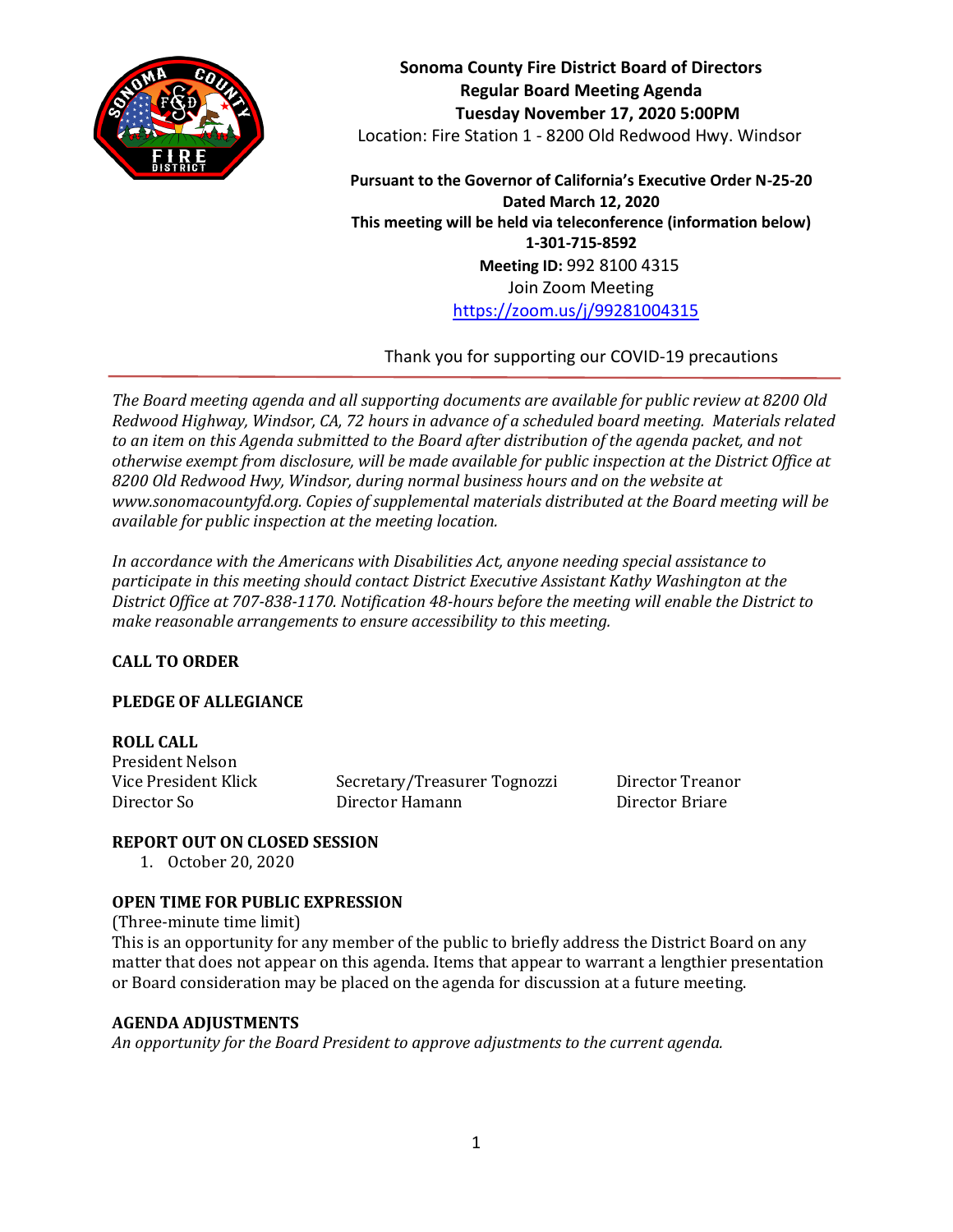

**Sonoma County Fire District Board of Directors Regular Board Meeting Agenda Tuesday November 17, 2020 5:00PM** Location: Fire Station 1 - 8200 Old Redwood Hwy. Windsor

**Pursuant to the Governor of California's Executive Order N-25-20 Dated March 12, 2020 This meeting will be held via teleconference (information below) 1-301-715-8592 Meeting ID:** 992 8100 4315 Join Zoom Meeting <https://zoom.us/j/99281004315>

Thank you for supporting our COVID-19 precautions

*The Board meeting agenda and all supporting documents are available for public review at 8200 Old Redwood Highway, Windsor, CA, 72 hours in advance of a scheduled board meeting. Materials related to an item on this Agenda submitted to the Board after distribution of the agenda packet, and not otherwise exempt from disclosure, will be made available for public inspection at the District Office at 8200 Old Redwood Hwy, Windsor, during normal business hours and on the website at www.sonomacountyfd.org. Copies of supplemental materials distributed at the Board meeting will be available for public inspection at the meeting location.*

*In accordance with the Americans with Disabilities Act, anyone needing special assistance to participate in this meeting should contact District Executive Assistant Kathy Washington at the District Office at 707-838-1170. Notification 48-hours before the meeting will enable the District to make reasonable arrangements to ensure accessibility to this meeting.*

# **CALL TO ORDER**

# **PLEDGE OF ALLEGIANCE**

# **ROLL CALL**

President Nelson

Vice President Klick Secretary/Treasurer Tognozzi Director Treanor Director So Director Hamann Director Briare

# **REPORT OUT ON CLOSED SESSION**

1. October 20, 2020

# **OPEN TIME FOR PUBLIC EXPRESSION**

(Three-minute time limit) This is an opportunity for any member of the public to briefly address the District Board on any matter that does not appear on this agenda. Items that appear to warrant a lengthier presentation or Board consideration may be placed on the agenda for discussion at a future meeting.

# **AGENDA ADJUSTMENTS**

*An opportunity for the Board President to approve adjustments to the current agenda.*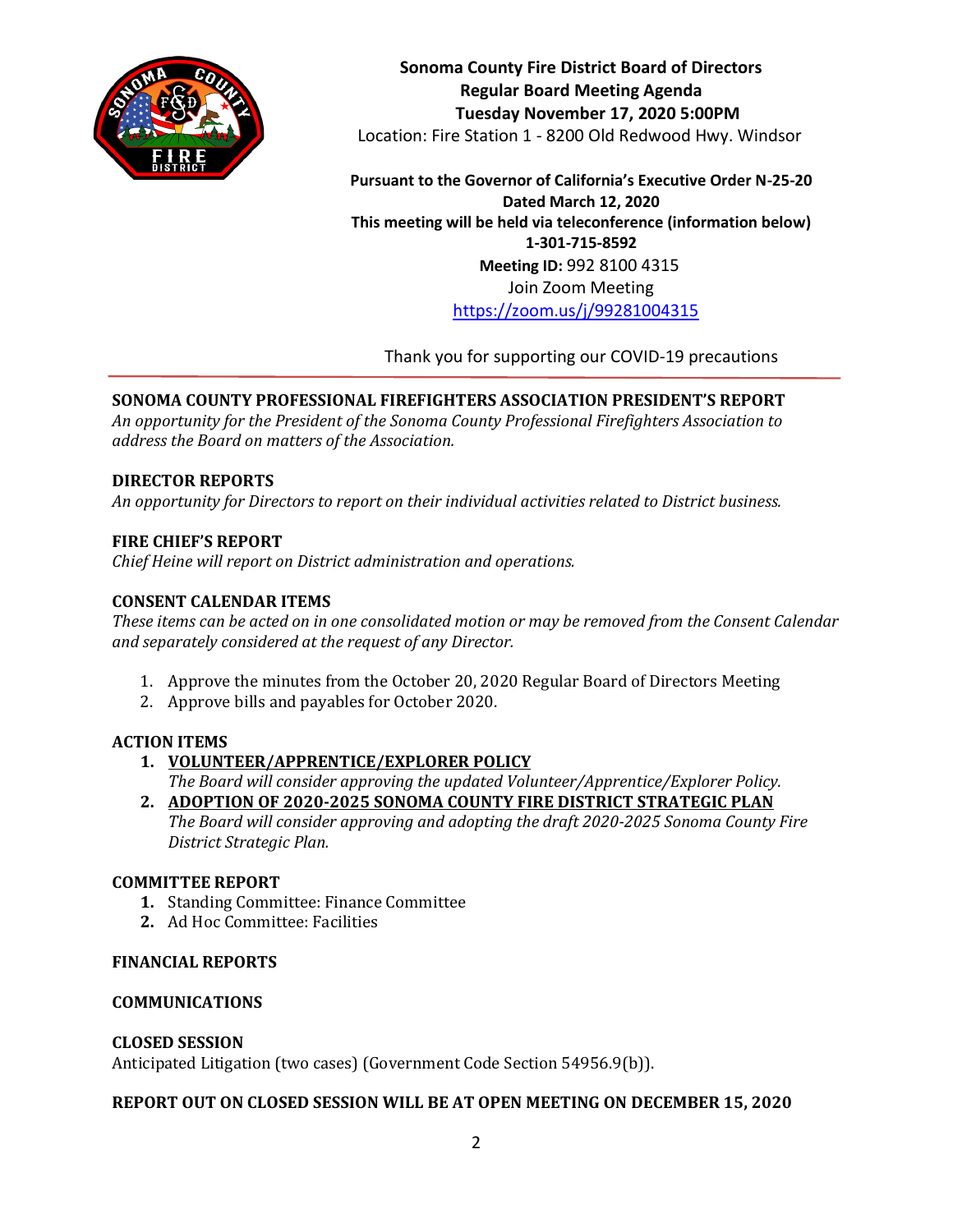

**Sonoma County Fire District Board of Directors Regular Board Meeting Agenda Tuesday November 17, 2020 5:00PM** Location: Fire Station 1 - 8200 Old Redwood Hwy. Windsor

**Pursuant to the Governor of California's Executive Order N-25-20 Dated March 12, 2020 This meeting will be held via teleconference (information below) 1-301-715-8592 Meeting ID:** 992 8100 4315 Join Zoom Meeting <https://zoom.us/j/99281004315>

Thank you for supporting our COVID-19 precautions

# **SONOMA COUNTY PROFESSIONAL FIREFIGHTERS ASSOCIATION PRESIDENT'S REPORT**

*An opportunity for the President of the Sonoma County Professional Firefighters Association to address the Board on matters of the Association.*

## **DIRECTOR REPORTS**

*An opportunity for Directors to report on their individual activities related to District business.*

## **FIRE CHIEF'S REPORT**

*Chief Heine will report on District administration and operations.*

## **CONSENT CALENDAR ITEMS**

*These items can be acted on in one consolidated motion or may be removed from the Consent Calendar and separately considered at the request of any Director.*

- 1. Approve the minutes from the October 20, 2020 Regular Board of Directors Meeting
- 2. Approve bills and payables for October 2020.

# **ACTION ITEMS**

**1. VOLUNTEER/APPRENTICE/EXPLORER POLICY**

*The Board will consider approving the updated Volunteer/Apprentice/Explorer Policy.*

**2. ADOPTION OF 2020-2025 SONOMA COUNTY FIRE DISTRICT STRATEGIC PLAN** *The Board will consider approving and adopting the draft 2020-2025 Sonoma County Fire District Strategic Plan.*

#### **COMMITTEE REPORT**

- **1.** Standing Committee: Finance Committee
- **2.** Ad Hoc Committee: Facilities

### **FINANCIAL REPORTS**

#### **COMMUNICATIONS**

#### **CLOSED SESSION**

Anticipated Litigation (two cases) (Government Code Section 54956.9(b)).

#### **REPORT OUT ON CLOSED SESSION WILL BE AT OPEN MEETING ON DECEMBER 15, 2020**